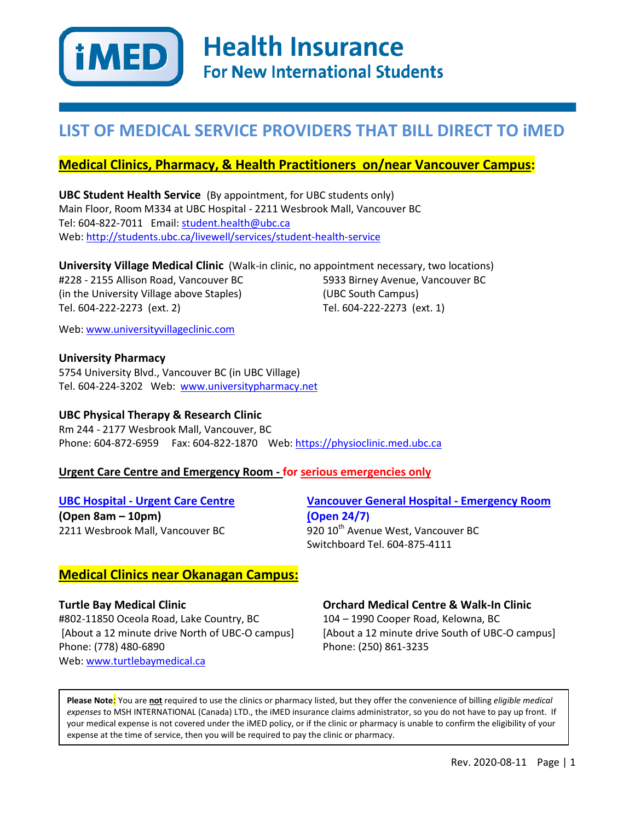

**Health Insurance For New International Students** 

### **LIST OF MEDICAL SERVICE PROVIDERS THAT BILL DIRECT TO iMED**

### **Medical Clinics, Pharmacy, & Health Practitioners on/near Vancouver Campus:**

**UBC Student Health Service** (By appointment, for UBC students only) Main Floor, Room M334 at UBC Hospital - 2211 Wesbrook Mall, Vancouver BC Tel: 604-822-7011 Email: [student.health@ubc.ca](mailto:student.health@ubc.ca) Web:<http://students.ubc.ca/livewell/services/student-health-service>

**University Village Medical Clinic** (Walk-in clinic, no appointment necessary, two locations) #228 - 2155 Allison Road, Vancouver BC (in the University Village above Staples) Tel. 604-222-2273 (ext. 2) 5933 Birney Avenue, Vancouver BC (UBC South Campus) Tel. 604-222-2273 (ext. 1)

Web: [www.universityvillageclinic.com](http://www.universityvillageclinic.com/)

#### **University Pharmacy**

5754 University Blvd., Vancouver BC (in UBC Village) Tel. 604-224-3202 Web: [www.universitypharmacy.net](http://www.universitypharmacy.net/)

#### **UBC Physical Therapy & Research Clinic**

Rm 244 - 2177 Wesbrook Mall, Vancouver, BC Phone: 604-872-6959 Fax: 604-822-1870 Web: [https://physioclinic.med.ubc.ca](https://physioclinic.med.ubc.ca/)

#### **Urgent Care Centre and Emergency Room - for serious emergencies only**

#### **[UBC Hospital -](http://www.vch.ca/locations-and-services/find-health-services/?program_id=2466) Urgent Care Centre**

**(Open 8am – 10pm)** 2211 Wesbrook Mall, Vancouver BC **[Vancouver General Hospital -](http://www.vch.ca/locations-and-services/find-locations/?site_id=471) Emergency Room (Open 24/7)** 920 10<sup>th</sup> Avenue West, Vancouver BC Switchboard Tel. 604-875-4111

### **Medical Clinics near Okanagan Campus:**

**Turtle Bay Medical Clinic** #802-11850 Oceola Road, Lake Country, BC [About a 12 minute drive North of UBC-O campus] Phone: (778) 480-6890 Web: [www.turtlebaymedical.ca](http://www.turtlebaymedical.ca/)

#### **Orchard Medical Centre & Walk-In Clinic**

104 – 1990 Cooper Road, Kelowna, BC [About a 12 minute drive South of UBC-O campus] Phone: (250) 861-3235

**Please Note**: You are **not** required to use the clinics or pharmacy listed, but they offer the convenience of billing *eligible medical expenses* to MSH INTERNATIONAL (Canada) LTD., the iMED insurance claims administrator, so you do not have to pay up front. If your medical expense is not covered under the iMED policy, or if the clinic or pharmacy is unable to confirm the eligibility of your expense at the time of service, then you will be required to pay the clinic or pharmacy.